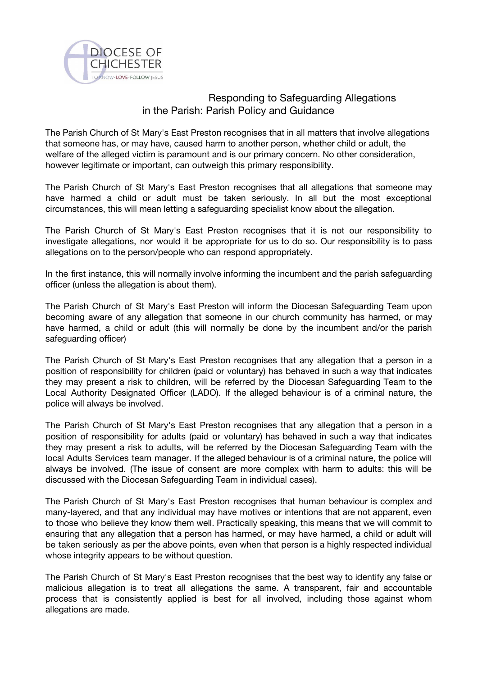

## Responding to Safeguarding Allegations in the Parish: Parish Policy and Guidance

The Parish Church of St Mary's East Preston recognises that in all matters that involve allegations that someone has, or may have, caused harm to another person, whether child or adult, the welfare of the alleged victim is paramount and is our primary concern. No other consideration, however legitimate or important, can outweigh this primary responsibility.

The Parish Church of St Mary's East Preston recognises that all allegations that someone may have harmed a child or adult must be taken seriously. In all but the most exceptional circumstances, this will mean letting a safeguarding specialist know about the allegation.

The Parish Church of St Mary's East Preston recognises that it is not our responsibility to investigate allegations, nor would it be appropriate for us to do so. Our responsibility is to pass allegations on to the person/people who can respond appropriately.

In the first instance, this will normally involve informing the incumbent and the parish safeguarding officer (unless the allegation is about them).

The Parish Church of St Mary's East Preston will inform the Diocesan Safeguarding Team upon becoming aware of any allegation that someone in our church community has harmed, or may have harmed, a child or adult (this will normally be done by the incumbent and/or the parish safeguarding officer)

The Parish Church of St Mary's East Preston recognises that any allegation that a person in a position of responsibility for children (paid or voluntary) has behaved in such a way that indicates they may present a risk to children, will be referred by the Diocesan Safeguarding Team to the Local Authority Designated Officer (LADO). If the alleged behaviour is of a criminal nature, the police will always be involved.

The Parish Church of St Mary's East Preston recognises that any allegation that a person in a position of responsibility for adults (paid or voluntary) has behaved in such a way that indicates they may present a risk to adults, will be referred by the Diocesan Safeguarding Team with the local Adults Services team manager. If the alleged behaviour is of a criminal nature, the police will always be involved. (The issue of consent are more complex with harm to adults: this will be discussed with the Diocesan Safeguarding Team in individual cases).

The Parish Church of St Mary's East Preston recognises that human behaviour is complex and many-layered, and that any individual may have motives or intentions that are not apparent, even to those who believe they know them well. Practically speaking, this means that we will commit to ensuring that any allegation that a person has harmed, or may have harmed, a child or adult will be taken seriously as per the above points, even when that person is a highly respected individual whose integrity appears to be without question.

The Parish Church of St Mary's East Preston recognises that the best way to identify any false or malicious allegation is to treat all allegations the same. A transparent, fair and accountable process that is consistently applied is best for all involved, including those against whom allegations are made.